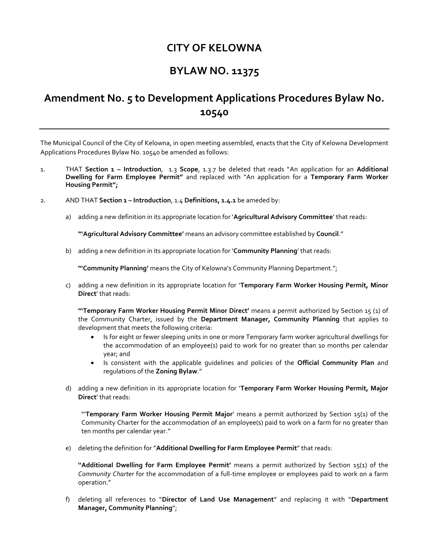## **CITY OF KELOWNA**

## **BYLAW NO. 11375**

# **Amendment No. 5 to Development Applications Procedures Bylaw No. 10540**

The Municipal Council of the City of Kelowna, in open meeting assembled, enacts that the City of Kelowna Development Applications Procedures Bylaw No. 10540 be amended as follows:

- 1. THAT **Section 1 – Introduction**, 1.3 **Scope**, 1.3.7 be deleted that reads "An application for an **Additional Dwelling for Farm Employee Permit"** and replaced with "An application for a **Temporary Farm Worker Housing Permit";**
- 2. AND THAT **Section 1 – Introduction**, 1.4 **Definitions, 1.4.1** be ameded by:
	- a) adding a new definition in its appropriate location for '**Agricultural Advisory Committee**' that reads:

**"'Agricultural Advisory Committee'** means an advisory committee established by **Council**."

b) adding a new definition in its appropriate location for '**Community Planning**' that reads:

**"'Community Planning'** means the City of Kelowna's Community Planning Department.";

c) adding a new definition in its appropriate location for '**Temporary Farm Worker Housing Permit, Minor Direct**' that reads:

**"'Temporary Farm Worker Housing Permit Minor Direct'** means a permit authorized by Section 15 (1) of the Community Charter, issued by the **Department Manager, Community Planning** that applies to development that meets the following criteria:

- Is for eight or fewer sleeping units in one or more Temporary farm worker agricultural dwellings for the accommodation of an employee(s) paid to work for no greater than 10 months per calendar year; and
- Is consistent with the applicable guidelines and policies of the **Official Community Plan** and regulations of the **Zoning Bylaw**."
- d) adding a new definition in its appropriate location for '**Temporary Farm Worker Housing Permit, Major Direct**' that reads:

"'**Temporary Farm Worker Housing Permit Major**' means a permit authorized by Section 15(1) of the Community Charter for the accommodation of an employee(s) paid to work on a farm for no greater than ten months per calendar year."

e) deleting the definition for "**Additional Dwelling for Farm Employee Permit**" that reads:

**''Additional Dwelling for Farm Employee Permit'** means a permit authorized by Section 15(1) of the *Community Charter* for the accommodation of a full-time employee or employees paid to work on a farm operation."

f) deleting all references to "**Director of Land Use Management**" and replacing it with "**Department Manager, Community Planning**";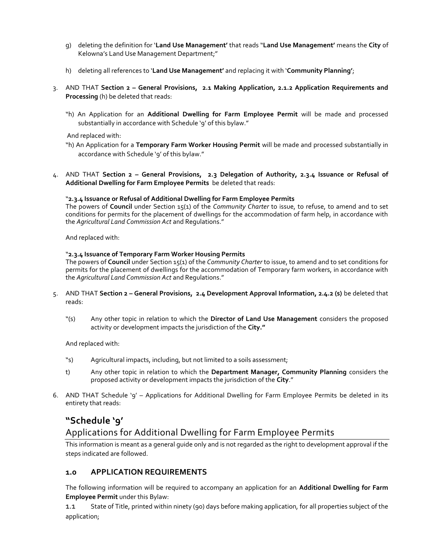- g) deleting the definition for '**Land Use Management'** that reads "**Land Use Management'** means the **City** of Kelowna's Land Use Management Department;"
- h) deleting all references to '**Land Use Management'** and replacing it with '**Community Planning'**;
- 3. AND THAT **Section 2 – General Provisions, 2.1 Making Application, 2.1.2 Application Requirements and Processing** (h) be deleted that reads:
	- "h) An Application for an **Additional Dwelling for Farm Employee Permit** will be made and processed substantially in accordance with Schedule '9' of this bylaw."

### And replaced with:

- "h) An Application for a **Temporary Farm Worker Housing Permit** will be made and processed substantially in accordance with Schedule '9' of this bylaw."
- 4. AND THAT **Section 2 – General Provisions, 2.3 Delegation of Authority, 2.3.4 Issuance or Refusal of Additional Dwelling for Farm Employee Permits** be deleted that reads:

### "**2.3.4 Issuance or Refusal of Additional Dwelling for Farm Employee Permits**

The powers of **Council** under Section 15(1) of the *Community Charter* to issue, to refuse, to amend and to set conditions for permits for the placement of dwellings for the accommodation of farm help, in accordance with the *Agricultural Land Commission Act* and Regulations."

And replaced with:

### "**2.3.4 Issuance of Temporary Farm Worker Housing Permits**

The powers of **Council** under Section 15(1) of the *Community Charter* to issue, to amend and to set conditions for permits for the placement of dwellings for the accommodation of Temporary farm workers, in accordance with the *Agricultural Land Commission Act* and Regulations."

- 5. AND THAT **Section 2 – General Provisions, 2.4 Development Approval Information, 2.4.2 (s)** be deleted that reads:
	- "(s) Any other topic in relation to which the **Director of Land Use Management** considers the proposed activity or development impacts the jurisdiction of the **City."**

And replaced with:

- "s) Agricultural impacts, including, but not limited to a soils assessment;
- t) Any other topic in relation to which the **Department Manager, Community Planning** considers the proposed activity or development impacts the jurisdiction of the **City**."
- 6. AND THAT Schedule '9' Applications for Additional Dwelling for Farm Employee Permits be deleted in its entirety that reads:

## **"Schedule '9'**

## Applications for Additional Dwelling for Farm Employee Permits

This information is meant as a general guide only and is not regarded as the right to development approval if the steps indicated are followed.

## **1.0 APPLICATION REQUIREMENTS**

The following information will be required to accompany an application for an **Additional Dwelling for Farm Employee Permit** under this Bylaw:

1.1 State of Title, printed within ninety (90) days before making application, for all properties subject of the application;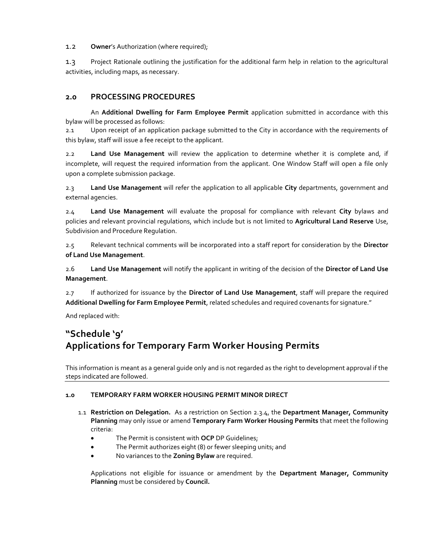1.2 **Owner**'s Authorization (where required);

1.3 Project Rationale outlining the justification for the additional farm help in relation to the agricultural activities, including maps, as necessary.

## **2.0 PROCESSING PROCEDURES**

An **Additional Dwelling for Farm Employee Permit** application submitted in accordance with this bylaw will be processed as follows:

2.1 Upon receipt of an application package submitted to the City in accordance with the requirements of this bylaw, staff will issue a fee receipt to the applicant.

2.2 **Land Use Management** will review the application to determine whether it is complete and, if incomplete, will request the required information from the applicant. One Window Staff will open a file only upon a complete submission package.

2.3 **Land Use Management** will refer the application to all applicable **City** departments, government and external agencies.

2.4 **Land Use Management** will evaluate the proposal for compliance with relevant **City** bylaws and policies and relevant provincial regulations, which include but is not limited to **Agricultural Land Reserve** Use, Subdivision and Procedure Regulation.

2.5 Relevant technical comments will be incorporated into a staff report for consideration by the **Director of Land Use Management**.

2.6 **Land Use Management** will notify the applicant in writing of the decision of the **Director of Land Use Management**.

2.7 If authorized for issuance by the **Director of Land Use Management**, staff will prepare the required **Additional Dwelling for Farm Employee Permit**, related schedules and required covenants for signature."

And replaced with:

# **"Schedule '9' Applications for Temporary Farm Worker Housing Permits**

This information is meant as a general guide only and is not regarded as the right to development approval if the steps indicated are followed.

## **1.0 TEMPORARY FARM WORKER HOUSING PERMIT MINOR DIRECT**

- 1.1 **Restriction on Delegation.** As a restriction on Section 2.3.4, the **Department Manager, Community Planning** may only issue or amend **Temporary Farm Worker Housing Permits** that meet the following criteria:
	- The Permit is consistent with **OCP** DP Guidelines;
	- The Permit authorizes eight (8) or fewer sleeping units; and
	- No variances to the **Zoning Bylaw** are required.

Applications not eligible for issuance or amendment by the **Department Manager, Community Planning** must be considered by **Council.**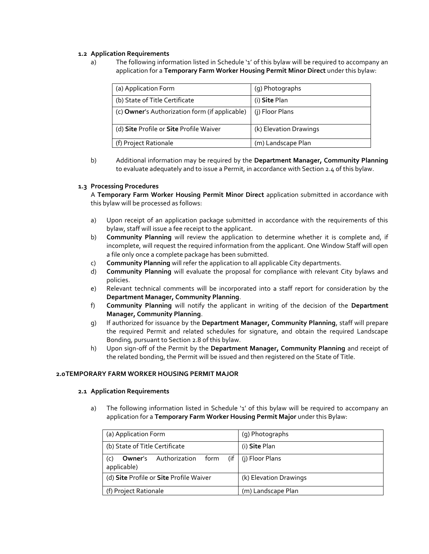### **1.2 Application Requirements**

a) The following information listed in Schedule '1' of this bylaw will be required to accompany an application for a **Temporary Farm Worker Housing Permit Minor Direct** under this bylaw:

| (a) Application Form                           | (g) Photographs        |
|------------------------------------------------|------------------------|
| (b) State of Title Certificate                 | (i) Site Plan          |
| (c) Owner's Authorization form (if applicable) | (j) Floor Plans        |
| (d) Site Profile or Site Profile Waiver        | (k) Elevation Drawings |
| (f) Project Rationale                          | (m) Landscape Plan     |

b) Additional information may be required by the **Department Manager, Community Planning** to evaluate adequately and to issue a Permit, in accordance with Section 2.4 of this bylaw.

## **1.3 Processing Procedures**

A **Temporary Farm Worker Housing Permit Minor Direct** application submitted in accordance with this bylaw will be processed as follows:

- a) Upon receipt of an application package submitted in accordance with the requirements of this bylaw, staff will issue a fee receipt to the applicant.
- b) **Community Planning** will review the application to determine whether it is complete and, if incomplete, will request the required information from the applicant. One Window Staff will open a file only once a complete package has been submitted.
- c) **Community Planning** will refer the application to all applicable City departments.
- d) **Community Planning** will evaluate the proposal for compliance with relevant City bylaws and policies.
- e) Relevant technical comments will be incorporated into a staff report for consideration by the **Department Manager, Community Planning**.
- f) **Community Planning** will notify the applicant in writing of the decision of the **Department Manager, Community Planning**.
- g) If authorized for issuance by the **Department Manager, Community Planning**, staff will prepare the required Permit and related schedules for signature, and obtain the required Landscape Bonding, pursuant to Section 2.8 of this bylaw.
- h) Upon sign-off of the Permit by the **Department Manager, Community Planning** and receipt of the related bonding, the Permit will be issued and then registered on the State of Title.

### **2.0TEMPORARY FARM WORKER HOUSING PERMIT MAJOR**

### **2.1 Application Requirements**

a) The following information listed in Schedule '1' of this bylaw will be required to accompany an application for a **Temporary Farm Worker Housing Permit Major** under this Bylaw:

|                       | (a) Application Form                                    | (g) Photographs        |  |
|-----------------------|---------------------------------------------------------|------------------------|--|
|                       | (b) State of Title Certificate                          | (i) Site Plan          |  |
| (C)                   | <b>Owner's</b> Authorization<br>form (if<br>applicable) | (j) Floor Plans        |  |
|                       | (d) Site Profile or Site Profile Waiver                 | (k) Elevation Drawings |  |
| (f) Project Rationale |                                                         | (m) Landscape Plan     |  |